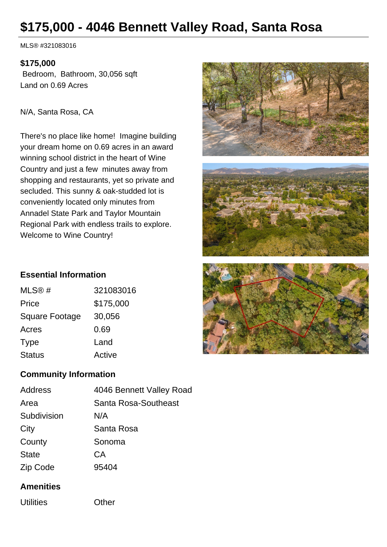# **\$175,000 - 4046 Bennett Valley Road, Santa Rosa**

MLS® #321083016

#### **\$175,000**

 Bedroom, Bathroom, 30,056 sqft Land on 0.69 Acres

N/A, Santa Rosa, CA

There's no place like home! Imagine building your dream home on 0.69 acres in an award winning school district in the heart of Wine Country and just a few minutes away from shopping and restaurants, yet so private and secluded. This sunny & oak-studded lot is conveniently located only minutes from Annadel State Park and Taylor Mountain Regional Park with endless trails to explore. Welcome to Wine Country!







## **Essential Information**

| MLS@#                 | 321083016 |
|-----------------------|-----------|
| Price                 | \$175,000 |
| <b>Square Footage</b> | 30,056    |
| Acres                 | 0.69      |
| <b>Type</b>           | Land      |
| <b>Status</b>         | Active    |
|                       |           |

## **Community Information**

| Address      | 4046 Bennett Valley Road |
|--------------|--------------------------|
| Area         | Santa Rosa-Southeast     |
| Subdivision  | N/A                      |
| City         | Santa Rosa               |
| County       | Sonoma                   |
| <b>State</b> | СA                       |
| Zip Code     | 95404                    |
|              |                          |

### **Amenities**

Utilities Other